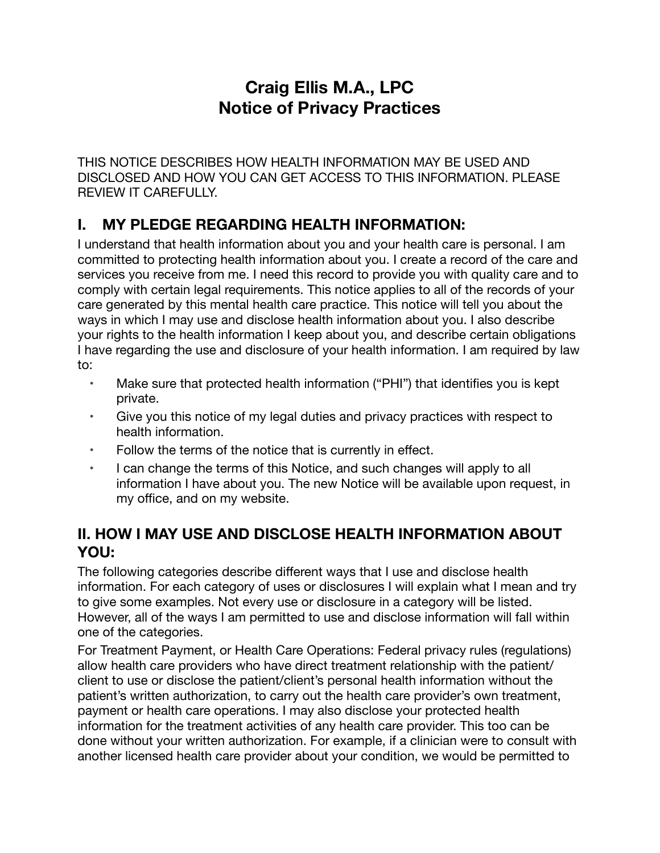# **Craig Ellis M.A., LPC Notice of Privacy Practices**

THIS NOTICE DESCRIBES HOW HEALTH INFORMATION MAY BE USED AND DISCLOSED AND HOW YOU CAN GET ACCESS TO THIS INFORMATION. PLEASE REVIEW IT CAREFULLY.

# **I. MY PLEDGE REGARDING HEALTH INFORMATION:**

I understand that health information about you and your health care is personal. I am committed to protecting health information about you. I create a record of the care and services you receive from me. I need this record to provide you with quality care and to comply with certain legal requirements. This notice applies to all of the records of your care generated by this mental health care practice. This notice will tell you about the ways in which I may use and disclose health information about you. I also describe your rights to the health information I keep about you, and describe certain obligations I have regarding the use and disclosure of your health information. I am required by law to:

- Make sure that protected health information ("PHI") that identifies you is kept private.
- Give you this notice of my legal duties and privacy practices with respect to health information.
- Follow the terms of the notice that is currently in effect.
- I can change the terms of this Notice, and such changes will apply to all information I have about you. The new Notice will be available upon request, in my office, and on my website.

## **II. HOW I MAY USE AND DISCLOSE HEALTH INFORMATION ABOUT YOU:**

The following categories describe different ways that I use and disclose health information. For each category of uses or disclosures I will explain what I mean and try to give some examples. Not every use or disclosure in a category will be listed. However, all of the ways I am permitted to use and disclose information will fall within one of the categories.

For Treatment Payment, or Health Care Operations: Federal privacy rules (regulations) allow health care providers who have direct treatment relationship with the patient/ client to use or disclose the patient/client's personal health information without the patient's written authorization, to carry out the health care provider's own treatment, payment or health care operations. I may also disclose your protected health information for the treatment activities of any health care provider. This too can be done without your written authorization. For example, if a clinician were to consult with another licensed health care provider about your condition, we would be permitted to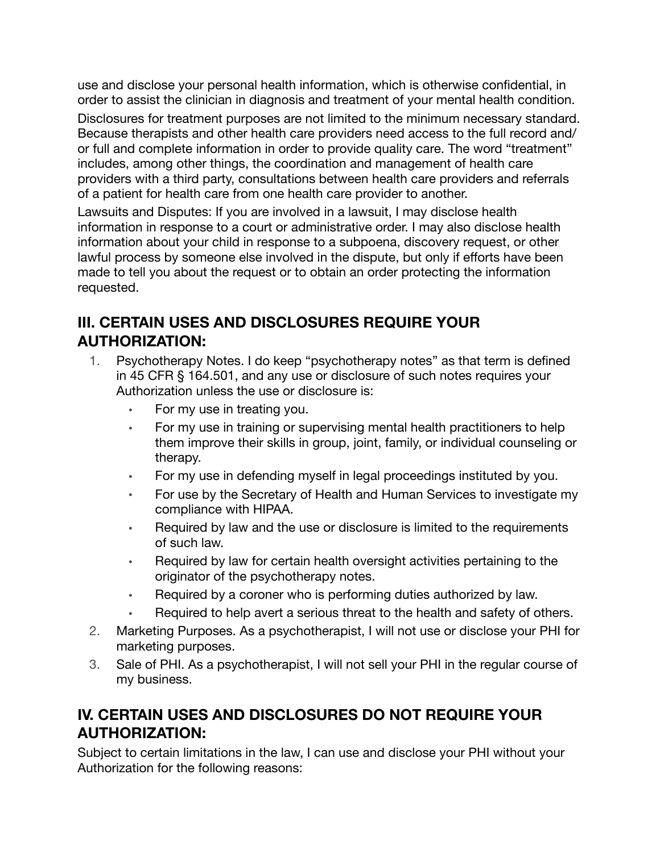use and disclose your personal health information, which is otherwise confidential, in order to assist the clinician in diagnosis and treatment of your mental health condition.

Disclosures for treatment purposes are not limited to the minimum necessary standard. Because therapists and other health care providers need access to the full record and/ or full and complete information in order to provide quality care. The word "treatment" includes, among other things, the coordination and management of health care providers with a third party, consultations between health care providers and referrals of a patient for health care from one health care provider to another.

Lawsuits and Disputes: If you are involved in a lawsuit, I may disclose health information in response to a court or administrative order. I may also disclose health information about your child in response to a subpoena, discovery request, or other lawful process by someone else involved in the dispute, but only if efforts have been made to tell you about the request or to obtain an order protecting the information requested.

### **III. CERTAIN USES AND DISCLOSURES REQUIRE YOUR AUTHORIZATION:**

- 1. Psychotherapy Notes. I do keep "psychotherapy notes" as that term is defined in 45 CFR § 164.501, and any use or disclosure of such notes requires your Authorization unless the use or disclosure is:
	- For my use in treating you.
	- For my use in training or supervising mental health practitioners to help them improve their skills in group, joint, family, or individual counseling or therapy.
	- For my use in defending myself in legal proceedings instituted by you.
	- For use by the Secretary of Health and Human Services to investigate my compliance with HIPAA.
	- Required by law and the use or disclosure is limited to the requirements of such law.
	- Required by law for certain health oversight activities pertaining to the originator of the psychotherapy notes.
	- Required by a coroner who is performing duties authorized by law.
	- Required to help avert a serious threat to the health and safety of others.
- 2. Marketing Purposes. As a psychotherapist, I will not use or disclose your PHI for marketing purposes.
- 3. Sale of PHI. As a psychotherapist, I will not sell your PHI in the regular course of my business.

### **IV. CERTAIN USES AND DISCLOSURES DO NOT REQUIRE YOUR AUTHORIZATION:**

Subject to certain limitations in the law, I can use and disclose your PHI without your Authorization for the following reasons: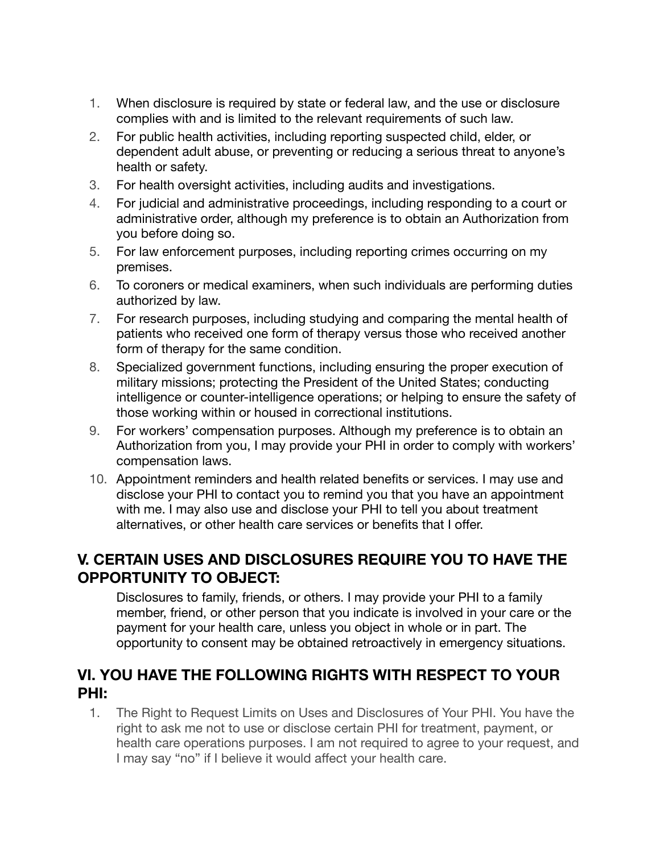- 1. When disclosure is required by state or federal law, and the use or disclosure complies with and is limited to the relevant requirements of such law.
- 2. For public health activities, including reporting suspected child, elder, or dependent adult abuse, or preventing or reducing a serious threat to anyone's health or safety.
- 3. For health oversight activities, including audits and investigations.
- 4. For judicial and administrative proceedings, including responding to a court or administrative order, although my preference is to obtain an Authorization from you before doing so.
- 5. For law enforcement purposes, including reporting crimes occurring on my premises.
- 6. To coroners or medical examiners, when such individuals are performing duties authorized by law.
- 7. For research purposes, including studying and comparing the mental health of patients who received one form of therapy versus those who received another form of therapy for the same condition.
- 8. Specialized government functions, including ensuring the proper execution of military missions; protecting the President of the United States; conducting intelligence or counter-intelligence operations; or helping to ensure the safety of those working within or housed in correctional institutions.
- 9. For workers' compensation purposes. Although my preference is to obtain an Authorization from you, I may provide your PHI in order to comply with workers' compensation laws.
- 10. Appointment reminders and health related benefits or services. I may use and disclose your PHI to contact you to remind you that you have an appointment with me. I may also use and disclose your PHI to tell you about treatment alternatives, or other health care services or benefits that I offer.

#### **V. CERTAIN USES AND DISCLOSURES REQUIRE YOU TO HAVE THE OPPORTUNITY TO OBJECT:**

Disclosures to family, friends, or others. I may provide your PHI to a family member, friend, or other person that you indicate is involved in your care or the payment for your health care, unless you object in whole or in part. The opportunity to consent may be obtained retroactively in emergency situations.

#### **VI. YOU HAVE THE FOLLOWING RIGHTS WITH RESPECT TO YOUR PHI:**

1. The Right to Request Limits on Uses and Disclosures of Your PHI. You have the right to ask me not to use or disclose certain PHI for treatment, payment, or health care operations purposes. I am not required to agree to your request, and I may say "no" if I believe it would affect your health care.